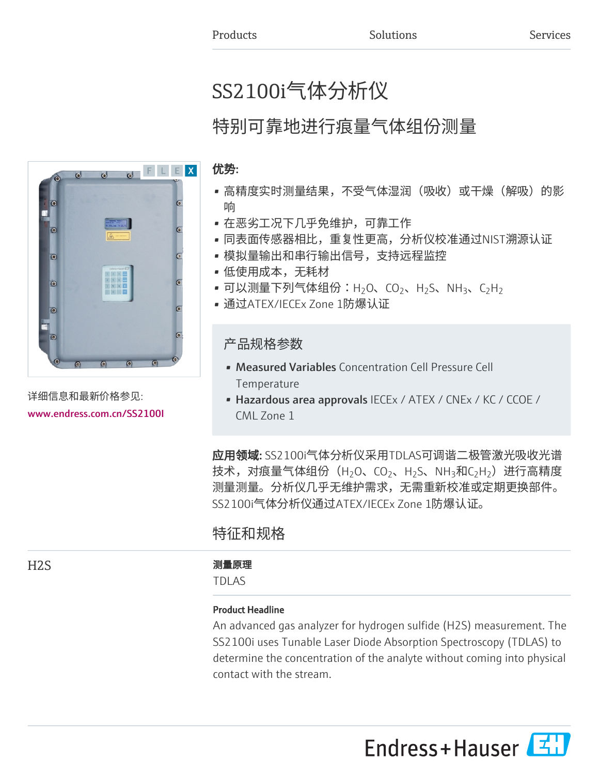# SS2100i气体分析仪

# 特别可靠地进行痕量气体组份测量

## 优势:

- 高精度实时测量结果,不受气体湿润(吸收)或干燥(解吸)的影 响
- 在恶劣工况下几乎免维护,可靠工作
- 同表面传感器相比,重复性更高,分析仪校准通过NIST溯源认证
- 模拟量输出和串行输出信号,支持远程监控
- 低使用成本,无耗材
- 可以测量下列气体组份:H<sub>2</sub>O、CO<sub>2</sub>、H<sub>2</sub>S、NH<sub>3</sub>、C<sub>2</sub>H<sub>2</sub>
- 通过ATEX/IECEx Zone 1防爆认证

# 产品规格参数

- Measured Variables Concentration Cell Pressure Cell **Temperature**
- Hazardous area approvals IECEx / ATEX / CNEx / KC / CCOE / CML Zone 1

应用领域: SS2100i气体分析仪采用TDLAS可调谐二极管激光吸收光谱 技术,对痕量气体组份(H $_2$ O、CO $_2$ 、H $_2$ S、NH $_3$ 和C $_2$ H $_2$ )进行高精度 测量测量。分析仪几乎无维护需求,无需重新校准或定期更换部件。 SS2100i气体分析仪通过ATEX/IECEx Zone 1防爆认证。

# 特征和规格

## H2S 2000 2000 2000 2000 2000 测量原理

TDLAS

## Product Headline

An advanced gas analyzer for hydrogen sulfide (H2S) measurement. The SS2100i uses Tunable Laser Diode Absorption Spectroscopy (TDLAS) to determine the concentration of the analyte without coming into physical contact with the stream.

Endress+Hauser



详细信息和最新价格参见: [www.endress.com.cn/SS2100I](https://www.endress.com.cn/SS2100I)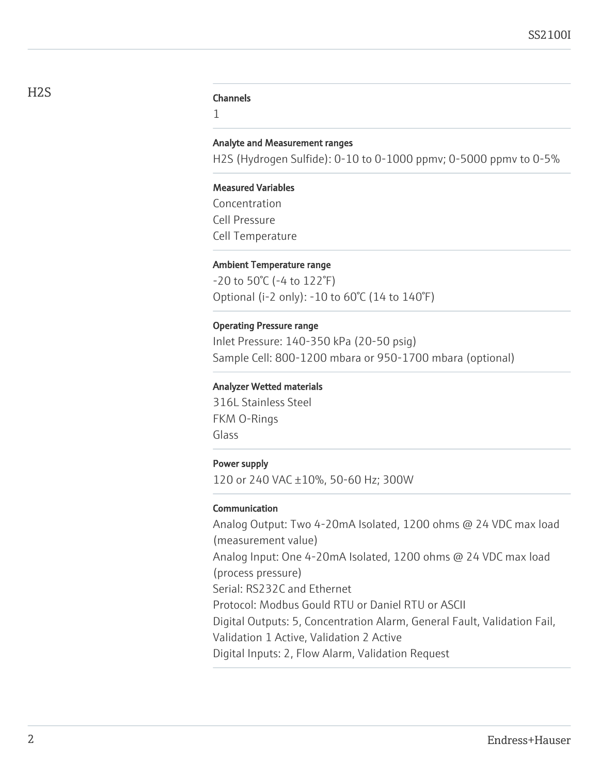1

#### Analyte and Measurement ranges

H2S (Hydrogen Sulfide): 0-10 to 0-1000 ppmv; 0-5000 ppmv to 0-5%

#### Measured Variables

Concentration Cell Pressure Cell Temperature

#### Ambient Temperature range

-20 to 50°C (-4 to 122°F) Optional (i-2 only): -10 to 60°C (14 to 140°F)

#### Operating Pressure range

Inlet Pressure: 140-350 kPa (20-50 psig) Sample Cell: 800-1200 mbara or 950-1700 mbara (optional)

#### Analyzer Wetted materials

316L Stainless Steel FKM O-Rings Glass

#### Power supply

120 or 240 VAC ±10%, 50-60 Hz; 300W

#### Communication

Analog Output: Two 4-20mA Isolated, 1200 ohms @ 24 VDC max load (measurement value) Analog Input: One 4-20mA Isolated, 1200 ohms @ 24 VDC max load (process pressure) Serial: RS232C and Ethernet Protocol: Modbus Gould RTU or Daniel RTU or ASCII Digital Outputs: 5, Concentration Alarm, General Fault, Validation Fail, Validation 1 Active, Validation 2 Active Digital Inputs: 2, Flow Alarm, Validation Request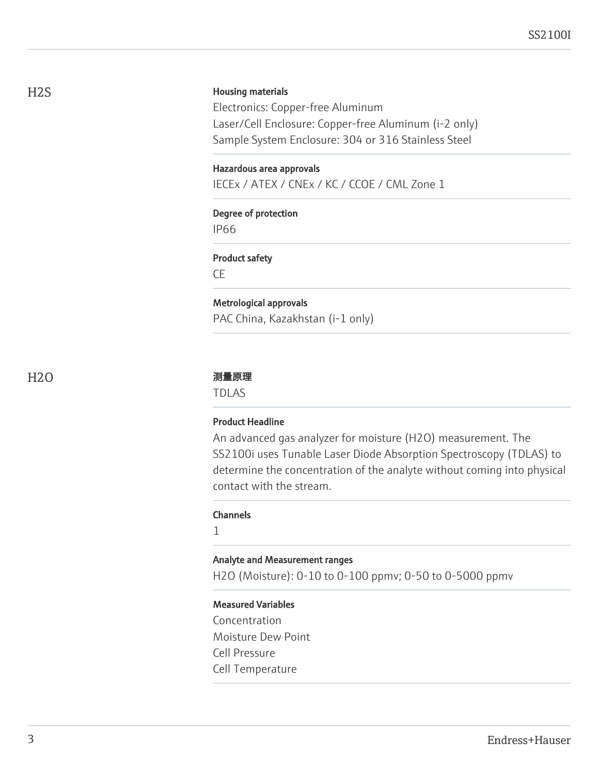#### Housing materials

Electronics: Copper-free Aluminum Laser/Cell Enclosure: Copper-free Aluminum (i-2 only) Sample System Enclosure: 304 or 316 Stainless Steel

#### Hazardous area approvals

IECEx / ATEX / CNEx / KC / CCOE / CML Zone 1

# Degree of protection

IP66

#### Product safety

CE

# Metrological approvals

PAC China, Kazakhstan (i-1 only)

#### H2O 测量原理

TDLAS

#### Product Headline

An advanced gas analyzer for moisture (H2O) measurement. The SS2100i uses Tunable Laser Diode Absorption Spectroscopy (TDLAS) to determine the concentration of the analyte without coming into physical contact with the stream.

#### Channels

1

#### Analyte and Measurement ranges

H2O (Moisture): 0-10 to 0-100 ppmv; 0-50 to 0-5000 ppmv

#### Measured Variables

Concentration Moisture Dew Point Cell Pressure Cell Temperature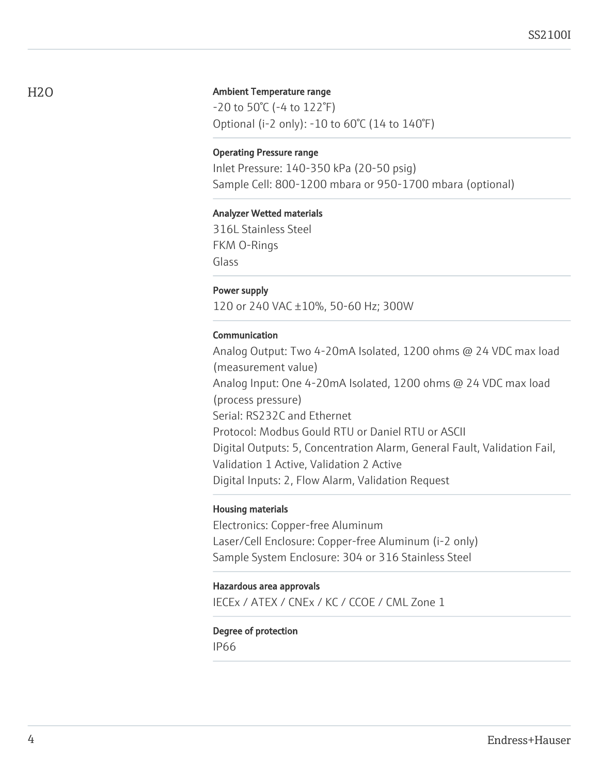#### Ambient Temperature range

-20 to 50°C (-4 to 122°F) Optional (i-2 only): -10 to 60°C (14 to 140°F)

#### Operating Pressure range

Inlet Pressure: 140-350 kPa (20-50 psig) Sample Cell: 800-1200 mbara or 950-1700 mbara (optional)

#### Analyzer Wetted materials

316L Stainless Steel FKM O-Rings Glass

#### Power supply

120 or 240 VAC ±10%, 50-60 Hz; 300W

#### Communication

Analog Output: Two 4-20mA Isolated, 1200 ohms @ 24 VDC max load (measurement value) Analog Input: One 4-20mA Isolated, 1200 ohms @ 24 VDC max load (process pressure) Serial: RS232C and Ethernet Protocol: Modbus Gould RTU or Daniel RTU or ASCII Digital Outputs: 5, Concentration Alarm, General Fault, Validation Fail, Validation 1 Active, Validation 2 Active Digital Inputs: 2, Flow Alarm, Validation Request

#### Housing materials

Electronics: Copper-free Aluminum Laser/Cell Enclosure: Copper-free Aluminum (i-2 only) Sample System Enclosure: 304 or 316 Stainless Steel

#### Hazardous area approvals

IECEx / ATEX / CNEx / KC / CCOE / CML Zone 1

# Degree of protection

IP66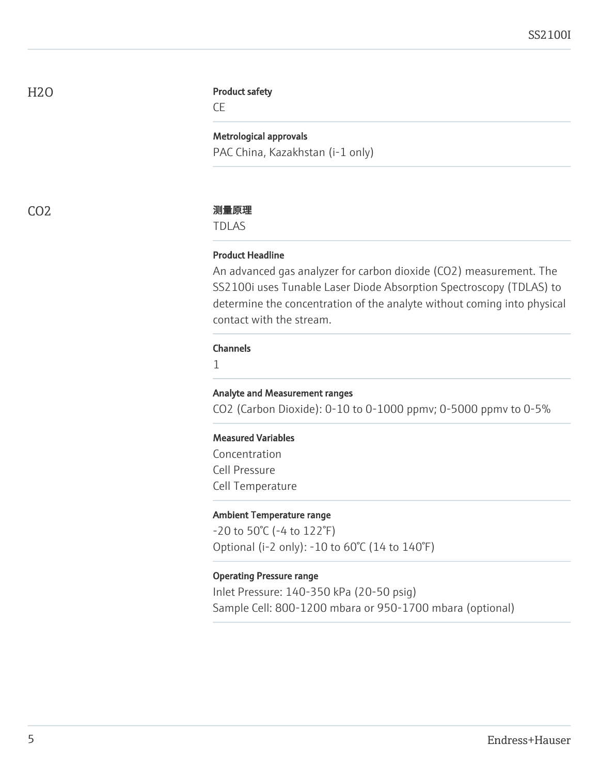H2O

#### Product safety

CE

#### Metrological approvals

PAC China, Kazakhstan (i-1 only)

#### CO2 测量原理

TDLAS

#### Product Headline

An advanced gas analyzer for carbon dioxide (CO2) measurement. The SS2100i uses Tunable Laser Diode Absorption Spectroscopy (TDLAS) to determine the concentration of the analyte without coming into physical contact with the stream.

#### Channels

1

#### Analyte and Measurement ranges

CO2 (Carbon Dioxide): 0-10 to 0-1000 ppmv; 0-5000 ppmv to 0-5%

#### Measured Variables

Concentration Cell Pressure Cell Temperature

#### Ambient Temperature range

-20 to 50°C (-4 to 122°F) Optional (i-2 only): -10 to 60°C (14 to 140°F)

#### Operating Pressure range

Inlet Pressure: 140-350 kPa (20-50 psig) Sample Cell: 800-1200 mbara or 950-1700 mbara (optional)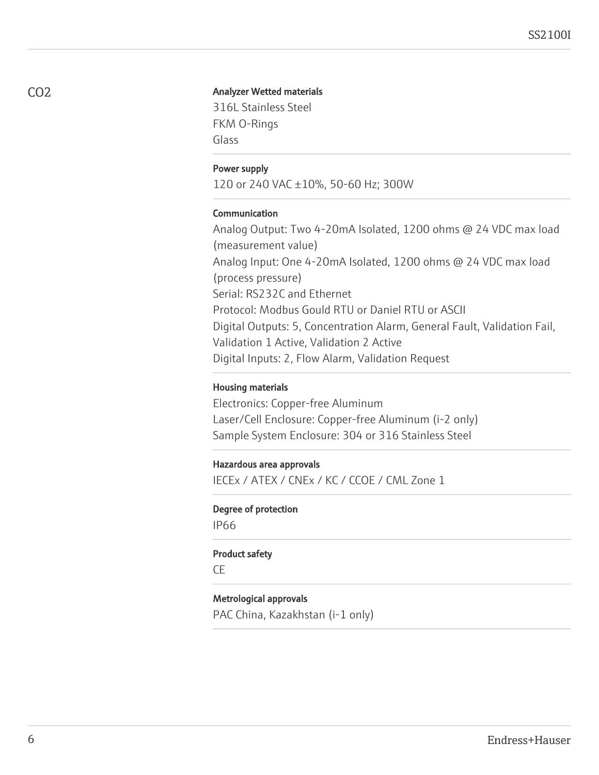#### Analyzer Wetted materials

316L Stainless Steel FKM O-Rings Glass

#### Power supply

120 or 240 VAC ±10%, 50-60 Hz; 300W

#### Communication

Analog Output: Two 4-20mA Isolated, 1200 ohms @ 24 VDC max load (measurement value) Analog Input: One 4-20mA Isolated, 1200 ohms @ 24 VDC max load (process pressure) Serial: RS232C and Ethernet Protocol: Modbus Gould RTU or Daniel RTU or ASCII Digital Outputs: 5, Concentration Alarm, General Fault, Validation Fail, Validation 1 Active, Validation 2 Active Digital Inputs: 2, Flow Alarm, Validation Request

#### Housing materials

Electronics: Copper-free Aluminum Laser/Cell Enclosure: Copper-free Aluminum (i-2 only) Sample System Enclosure: 304 or 316 Stainless Steel

#### Hazardous area approvals

IECEx / ATEX / CNEx / KC / CCOE / CML Zone 1

#### Degree of protection

IP66

#### Product safety

CE

#### Metrological approvals

PAC China, Kazakhstan (i-1 only)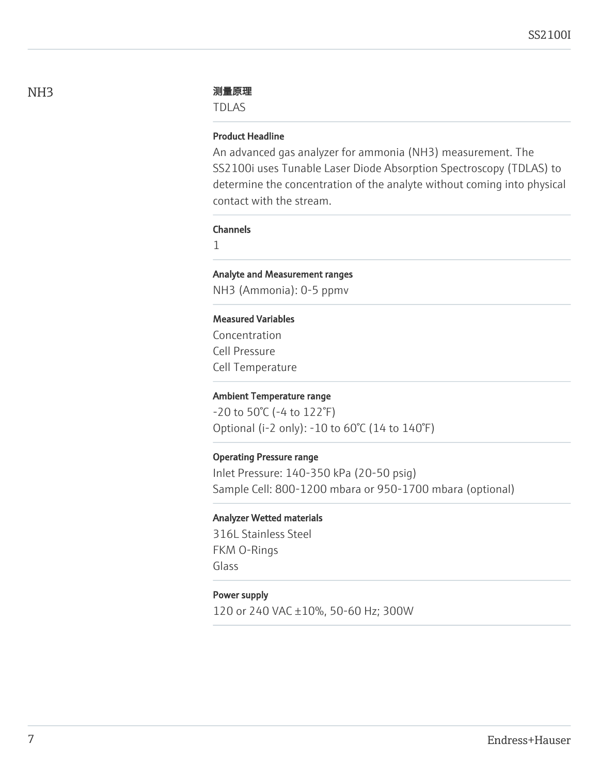#### NH3 测量原理

TDLAS

#### Product Headline

An advanced gas analyzer for ammonia (NH3) measurement. The SS2100i uses Tunable Laser Diode Absorption Spectroscopy (TDLAS) to determine the concentration of the analyte without coming into physical contact with the stream.

#### Channels

1

#### Analyte and Measurement ranges

NH3 (Ammonia): 0-5 ppmv

#### Measured Variables

Concentration Cell Pressure Cell Temperature

#### Ambient Temperature range

-20 to 50°C (-4 to 122°F) Optional (i-2 only): -10 to 60°C (14 to 140°F)

#### Operating Pressure range

Inlet Pressure: 140-350 kPa (20-50 psig) Sample Cell: 800-1200 mbara or 950-1700 mbara (optional)

#### Analyzer Wetted materials

316L Stainless Steel FKM O-Rings Glass

#### Power supply

120 or 240 VAC ±10%, 50-60 Hz; 300W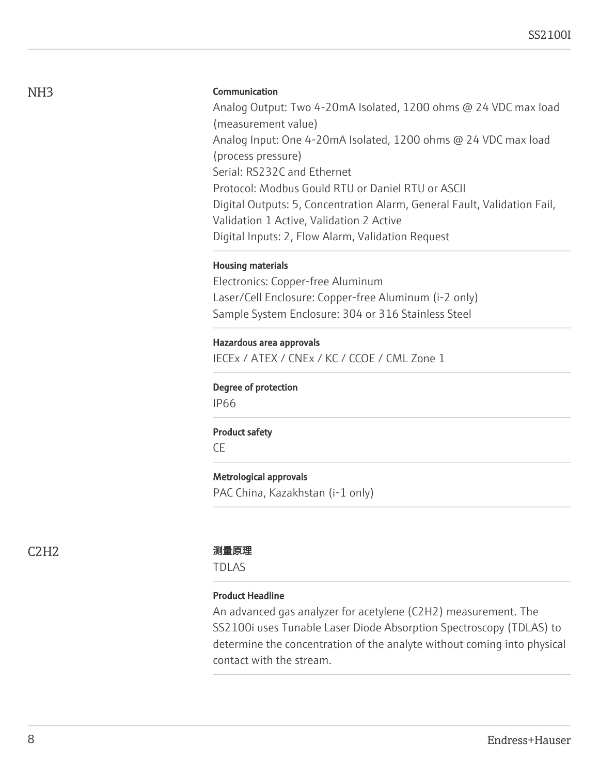#### Communication

Analog Output: Two 4-20mA Isolated, 1200 ohms @ 24 VDC max load (measurement value) Analog Input: One 4-20mA Isolated, 1200 ohms @ 24 VDC max load (process pressure) Serial: RS232C and Ethernet Protocol: Modbus Gould RTU or Daniel RTU or ASCII Digital Outputs: 5, Concentration Alarm, General Fault, Validation Fail, Validation 1 Active, Validation 2 Active Digital Inputs: 2, Flow Alarm, Validation Request

#### Housing materials

Electronics: Copper-free Aluminum Laser/Cell Enclosure: Copper-free Aluminum (i-2 only) Sample System Enclosure: 304 or 316 Stainless Steel

#### Hazardous area approvals

IECEx / ATEX / CNEx / KC / CCOE / CML Zone 1

#### Degree of protection

IP66

#### Product safety

CE

### Metrological approvals

PAC China, Kazakhstan (i-1 only)

#### C2H2 测量原理

TDLAS

#### Product Headline

An advanced gas analyzer for acetylene (C2H2) measurement. The SS2100i uses Tunable Laser Diode Absorption Spectroscopy (TDLAS) to determine the concentration of the analyte without coming into physical contact with the stream.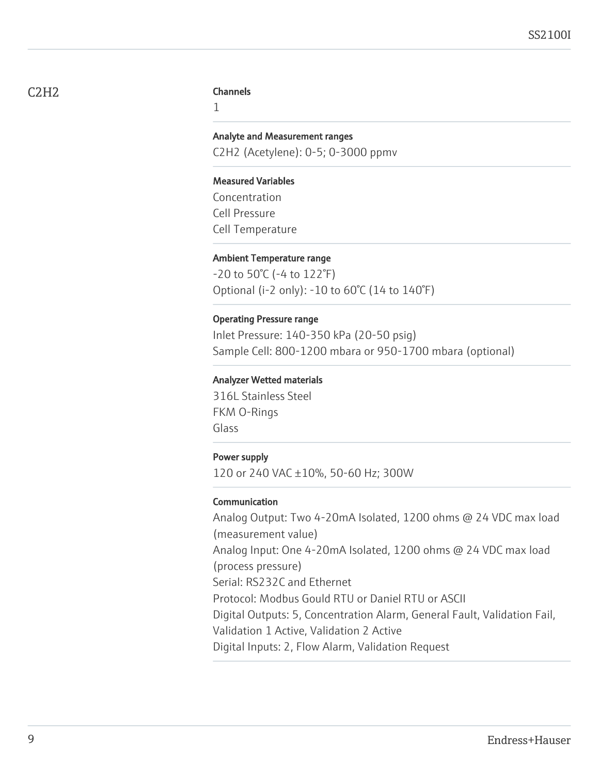## C2H2

#### **Channels**

1

# Analyte and Measurement ranges

C2H2 (Acetylene): 0-5; 0-3000 ppmv

#### Measured Variables

Concentration Cell Pressure Cell Temperature

#### Ambient Temperature range

-20 to 50°C (-4 to 122°F) Optional (i-2 only): -10 to 60°C (14 to 140°F)

#### Operating Pressure range

Inlet Pressure: 140-350 kPa (20-50 psig) Sample Cell: 800-1200 mbara or 950-1700 mbara (optional)

#### Analyzer Wetted materials

316L Stainless Steel FKM O-Rings Glass

#### Power supply

120 or 240 VAC ±10%, 50-60 Hz; 300W

#### Communication

Analog Output: Two 4-20mA Isolated, 1200 ohms @ 24 VDC max load (measurement value) Analog Input: One 4-20mA Isolated, 1200 ohms @ 24 VDC max load (process pressure) Serial: RS232C and Ethernet Protocol: Modbus Gould RTU or Daniel RTU or ASCII Digital Outputs: 5, Concentration Alarm, General Fault, Validation Fail, Validation 1 Active, Validation 2 Active Digital Inputs: 2, Flow Alarm, Validation Request